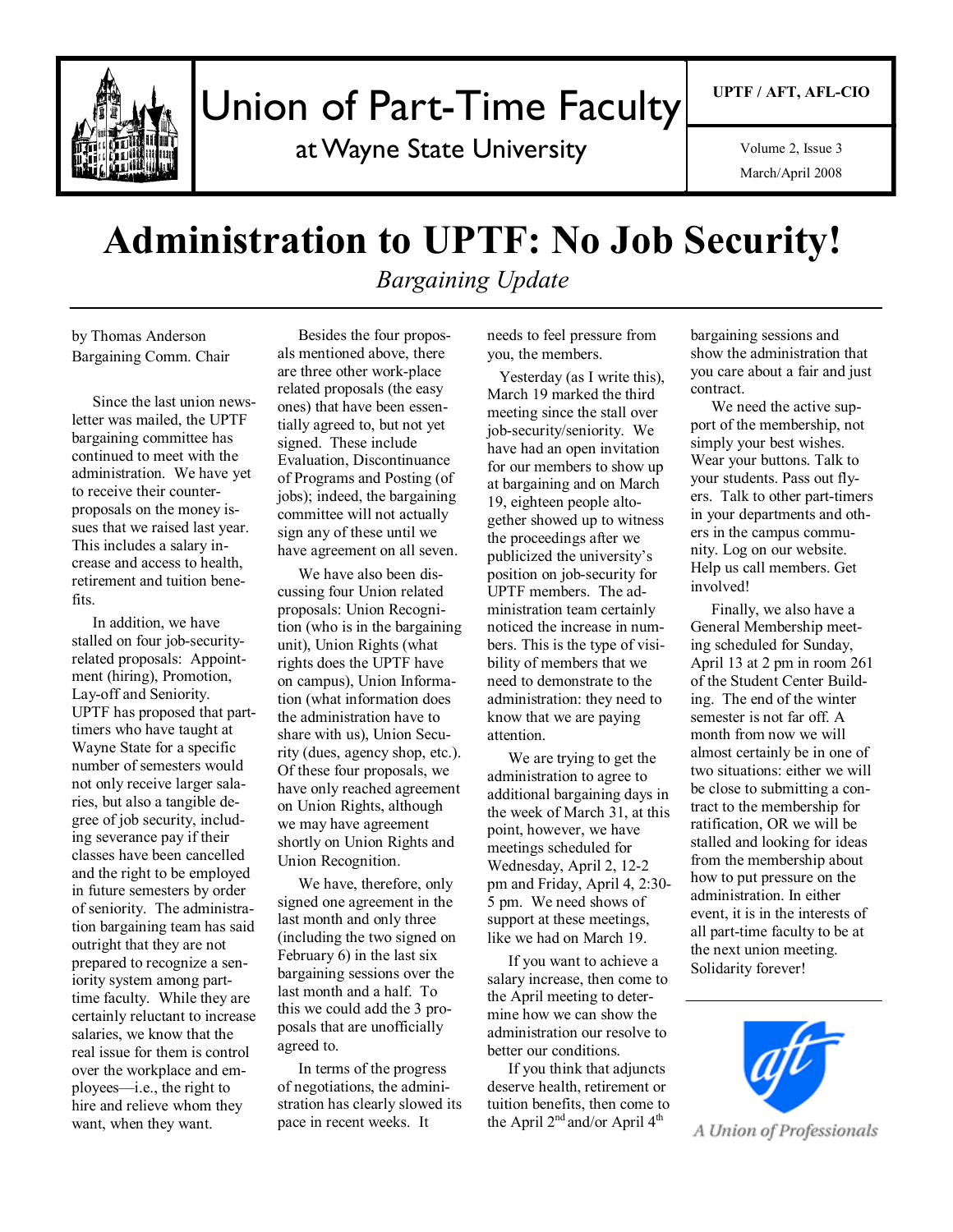

# Union of Part-Time Faculty

at Wayne State University

March/April 2008 Volume 2, Issue 3

## **Administration to UPTF: No Job Security!**

*Bargaining Update*

by Thomas Anderson Bargaining Comm. Chair

Since the last union newsletter was mailed, the UPTF bargaining committee has continued to meet with the administration. We have yet to receive their counterproposals on the money issues that we raised last year. This includes a salary increase and access to health, retirement and tuition benefits.

In addition, we have stalled on four job-securityrelated proposals: Appointment (hiring), Promotion, Lay-off and Seniority. UPTF has proposed that parttimers who have taught at Wayne State for a specific number of semesters would not only receive larger salaries, but also a tangible degree of job security, including severance pay if their classes have been cancelled and the right to be employed in future semesters by order of seniority. The administration bargaining team has said outright that they are not prepared to recognize a seniority system among parttime faculty. While they are certainly reluctant to increase salaries, we know that the real issue for them is control over the workplace and employees—i.e., the right to hire and relieve whom they want, when they want.

Besides the four proposals mentioned above, there are three other work-place related proposals (the easy ones) that have been essentially agreed to, but not yet signed. These include Evaluation, Discontinuance of Programs and Posting (of jobs); indeed, the bargaining committee will not actually sign any of these until we have agreement on all seven.

We have also been discussing four Union related proposals: Union Recognition (who is in the bargaining unit), Union Rights (what rights does the UPTF have on campus), Union Information (what information does the administration have to share with us), Union Security (dues, agency shop, etc.). Of these four proposals, we have only reached agreement on Union Rights, although we may have agreement shortly on Union Rights and Union Recognition.

We have, therefore, only signed one agreement in the last month and only three (including the two signed on February 6) in the last six bargaining sessions over the last month and a half. To this we could add the 3 proposals that are unofficially agreed to.

In terms of the progress of negotiations, the administration has clearly slowed its pace in recent weeks. It

needs to feel pressure from you, the members.

 Yesterday (as I write this), March 19 marked the third meeting since the stall over job-security/seniority. We have had an open invitation for our members to show up at bargaining and on March 19, eighteen people altogether showed up to witness the proceedings after we publicized the university"s position on job-security for UPTF members. The administration team certainly noticed the increase in numbers. This is the type of visibility of members that we need to demonstrate to the administration: they need to know that we are paying attention.

We are trying to get the administration to agree to additional bargaining days in the week of March 31, at this point, however, we have meetings scheduled for Wednesday, April 2, 12-2 pm and Friday, April 4, 2:30- 5 pm. We need shows of support at these meetings, like we had on March 19.

If you want to achieve a salary increase, then come to the April meeting to determine how we can show the administration our resolve to better our conditions.

If you think that adjuncts deserve health, retirement or tuition benefits, then come to the April  $2<sup>nd</sup>$  and/or April  $4<sup>th</sup>$ 

bargaining sessions and show the administration that you care about a fair and just contract.

We need the active support of the membership, not simply your best wishes. Wear your buttons. Talk to your students. Pass out flyers. Talk to other part-timers in your departments and others in the campus community. Log on our website. Help us call members. Get involved!

Finally, we also have a General Membership meeting scheduled for Sunday, April 13 at 2 pm in room 261 of the Student Center Building. The end of the winter semester is not far off. A month from now we will almost certainly be in one of two situations: either we will be close to submitting a contract to the membership for ratification, OR we will be stalled and looking for ideas from the membership about how to put pressure on the administration. In either event, it is in the interests of all part-time faculty to be at the next union meeting. Solidarity forever!



A Union of Professionals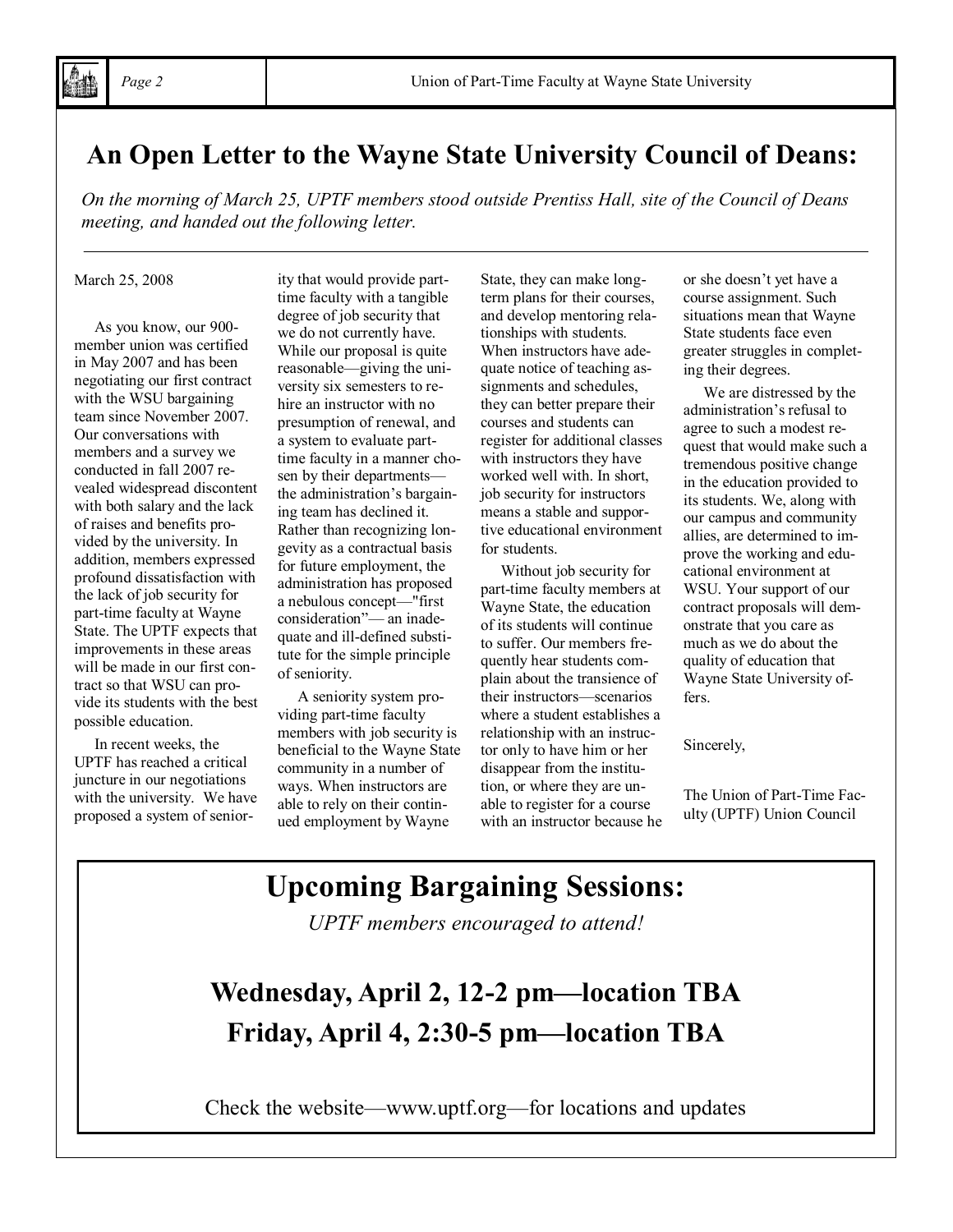### **An Open Letter to the Wayne State University Council of Deans:**

*On the morning of March 25, UPTF members stood outside Prentiss Hall, site of the Council of Deans meeting, and handed out the following letter.*

March 25, 2008

As you know, our 900 member union was certified in May 2007 and has been negotiating our first contract with the WSU bargaining team since November 2007. Our conversations with members and a survey we conducted in fall 2007 revealed widespread discontent with both salary and the lack of raises and benefits provided by the university. In addition, members expressed profound dissatisfaction with the lack of job security for part-time faculty at Wayne State. The UPTF expects that improvements in these areas will be made in our first contract so that WSU can provide its students with the best possible education.

In recent weeks, the UPTF has reached a critical juncture in our negotiations with the university. We have proposed a system of seniority that would provide parttime faculty with a tangible degree of job security that we do not currently have. While our proposal is quite reasonable—giving the university six semesters to rehire an instructor with no presumption of renewal, and a system to evaluate parttime faculty in a manner chosen by their departments the administration"s bargaining team has declined it. Rather than recognizing longevity as a contractual basis for future employment, the administration has proposed a nebulous concept—"first consideration"— an inadequate and ill-defined substitute for the simple principle of seniority.

A seniority system providing part-time faculty members with job security is beneficial to the Wayne State community in a number of ways. When instructors are able to rely on their continued employment by Wayne

State, they can make longterm plans for their courses, and develop mentoring relationships with students. When instructors have adequate notice of teaching assignments and schedules, they can better prepare their courses and students can register for additional classes with instructors they have worked well with. In short, job security for instructors means a stable and supportive educational environment for students.

Without job security for part-time faculty members at Wayne State, the education of its students will continue to suffer. Our members frequently hear students complain about the transience of their instructors—scenarios where a student establishes a relationship with an instructor only to have him or her disappear from the institution, or where they are unable to register for a course with an instructor because he or she doesn"t yet have a course assignment. Such situations mean that Wayne State students face even greater struggles in completing their degrees.

We are distressed by the administration"s refusal to agree to such a modest request that would make such a tremendous positive change in the education provided to its students. We, along with our campus and community allies, are determined to improve the working and educational environment at WSU. Your support of our contract proposals will demonstrate that you care as much as we do about the quality of education that Wayne State University offers.

Sincerely,

The Union of Part-Time Faculty (UPTF) Union Council

### **Upcoming Bargaining Sessions:**

*UPTF members encouraged to attend!*

### **Wednesday, April 2, 12-2 pm—location TBA Friday, April 4, 2:30-5 pm—location TBA**

Check the website—www.uptf.org—for locations and updates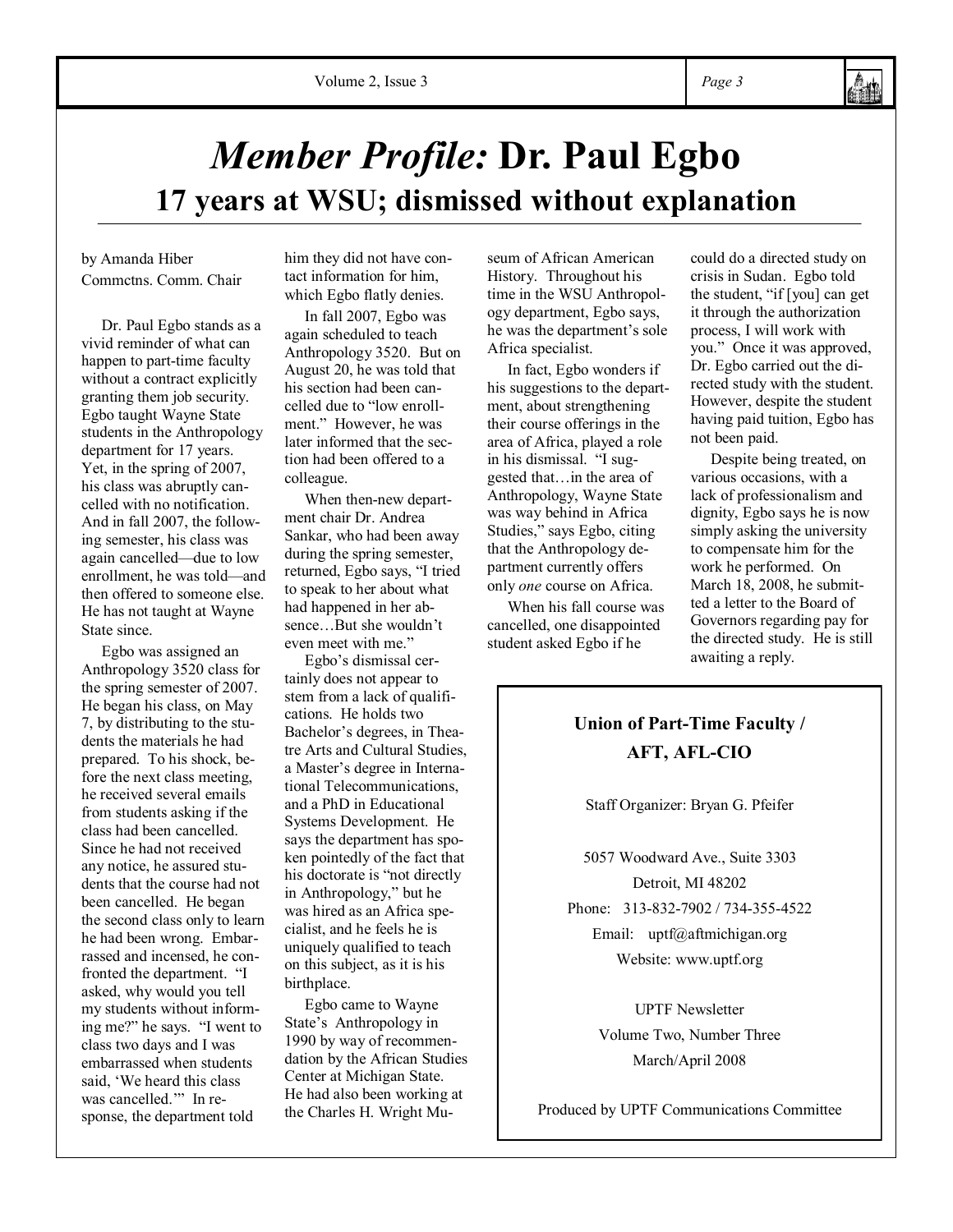

## *Member Profile:* **Dr. Paul Egbo 17 years at WSU; dismissed without explanation**

by Amanda Hiber Commctns. Comm. Chair

Dr. Paul Egbo stands as a vivid reminder of what can happen to part-time faculty without a contract explicitly granting them job security. Egbo taught Wayne State students in the Anthropology department for 17 years. Yet, in the spring of 2007, his class was abruptly cancelled with no notification. And in fall 2007, the following semester, his class was again cancelled—due to low enrollment, he was told—and then offered to someone else. He has not taught at Wayne State since.

Egbo was assigned an Anthropology 3520 class for the spring semester of 2007. He began his class, on May 7, by distributing to the students the materials he had prepared. To his shock, before the next class meeting, he received several emails from students asking if the class had been cancelled. Since he had not received any notice, he assured students that the course had not been cancelled. He began the second class only to learn he had been wrong. Embarrassed and incensed, he confronted the department. "I asked, why would you tell my students without informing me?" he says. "I went to class two days and I was embarrassed when students said, 'We heard this class was cancelled."" In response, the department told

him they did not have contact information for him, which Egbo flatly denies.

In fall 2007, Egbo was again scheduled to teach Anthropology 3520. But on August 20, he was told that his section had been cancelled due to "low enrollment." However, he was later informed that the section had been offered to a colleague.

When then-new department chair Dr. Andrea Sankar, who had been away during the spring semester, returned, Egbo says, "I tried to speak to her about what had happened in her absence But she wouldn't even meet with me."

Egbo"s dismissal certainly does not appear to stem from a lack of qualifications. He holds two Bachelor"s degrees, in Theatre Arts and Cultural Studies, a Master"s degree in International Telecommunications, and a PhD in Educational Systems Development. He says the department has spoken pointedly of the fact that his doctorate is "not directly in Anthropology," but he was hired as an Africa specialist, and he feels he is uniquely qualified to teach on this subject, as it is his birthplace.

Egbo came to Wayne State"s Anthropology in 1990 by way of recommendation by the African Studies Center at Michigan State. He had also been working at the Charles H. Wright Museum of African American History. Throughout his time in the WSU Anthropology department, Egbo says, he was the department"s sole Africa specialist.

In fact, Egbo wonders if his suggestions to the department, about strengthening their course offerings in the area of Africa, played a role in his dismissal. "I suggested that…in the area of Anthropology, Wayne State was way behind in Africa Studies," says Egbo, citing that the Anthropology department currently offers only *one* course on Africa.

When his fall course was cancelled, one disappointed student asked Egbo if he

could do a directed study on crisis in Sudan. Egbo told the student, "if [you] can get it through the authorization process, I will work with you." Once it was approved, Dr. Egbo carried out the directed study with the student. However, despite the student having paid tuition, Egbo has not been paid.

Despite being treated, on various occasions, with a lack of professionalism and dignity, Egbo says he is now simply asking the university to compensate him for the work he performed. On March 18, 2008, he submitted a letter to the Board of Governors regarding pay for the directed study. He is still awaiting a reply.

### **Union of Part-Time Faculty / AFT, AFL-CIO**

Staff Organizer: Bryan G. Pfeifer

5057 Woodward Ave., Suite 3303 Detroit, MI 48202 Phone: 313-832-7902 / 734-355-4522

Email: uptf@aftmichigan.org Website: www.uptf.org

UPTF Newsletter Volume Two, Number Three March/April 2008

Produced by UPTF Communications Committee